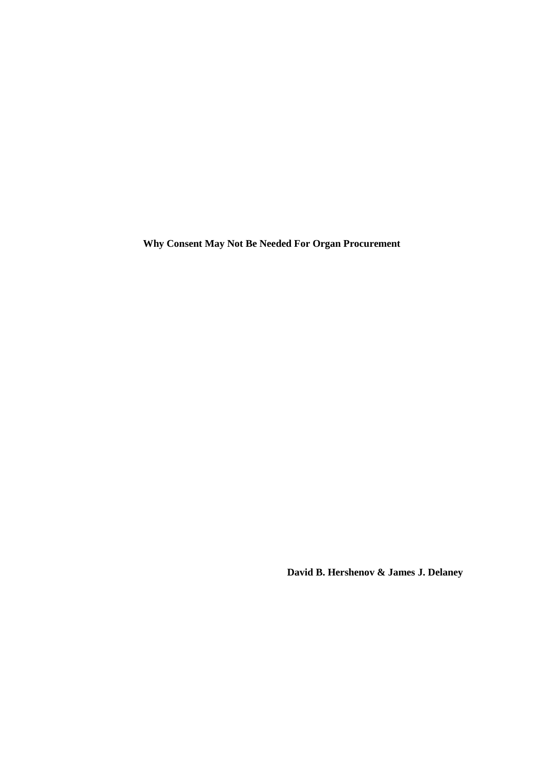**Why Consent May Not Be Needed For Organ Procurement**

 **David B. Hershenov & James J. Delaney**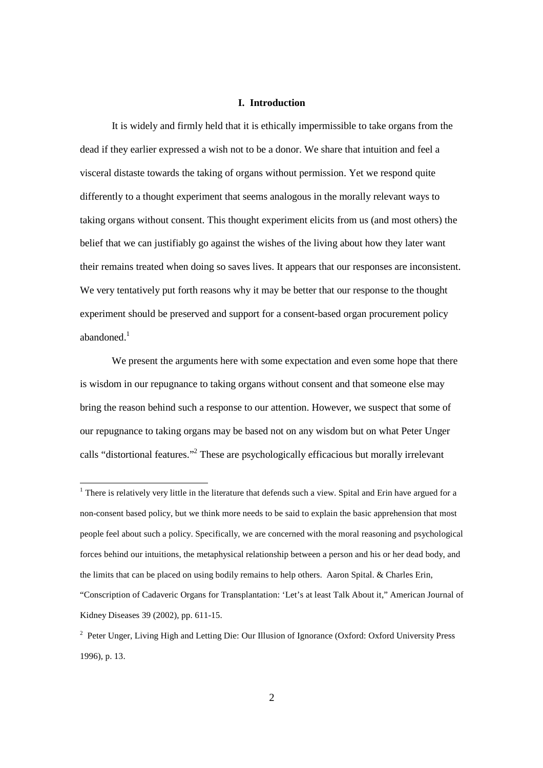#### **I. Introduction**

It is widely and firmly held that it is ethically impermissible to take organs from the dead if they earlier expressed a wish not to be a donor. We share that intuition and feel a visceral distaste towards the taking of organs without permission. Yet we respond quite differently to a thought experiment that seems analogous in the morally relevant ways to taking organs without consent. This thought experiment elicits from us (and most others) the belief that we can justifiably go against the wishes of the living about how they later want their remains treated when doing so saves lives. It appears that our responses are inconsistent. We very tentatively put forth reasons why it may be better that our response to the thought experiment should be preserved and support for a consent-based organ procurement policy abandoned.<sup>1</sup>

We present the arguments here with some expectation and even some hope that there is wisdom in our repugnance to taking organs without consent and that someone else may bring the reason behind such a response to our attention. However, we suspect that some of our repugnance to taking organs may be based not on any wisdom but on what Peter Unger calls "distortional features."<sup>2</sup> These are psychologically efficacious but morally irrelevant

<sup>&</sup>lt;sup>1</sup> There is relatively very little in the literature that defends such a view. Spital and Erin have argued for a non-consent based policy, but we think more needs to be said to explain the basic apprehension that most people feel about such a policy. Specifically, we are concerned with the moral reasoning and psychological forces behind our intuitions, the metaphysical relationship between a person and his or her dead body, and the limits that can be placed on using bodily remains to help others. Aaron Spital. & Charles Erin, "Conscription of Cadaveric Organs for Transplantation: 'Let's at least Talk About it," American Journal of Kidney Diseases 39 (2002), pp. 611-15.

<sup>&</sup>lt;sup>2</sup> Peter Unger, Living High and Letting Die: Our Illusion of Ignorance (Oxford: Oxford University Press 1996), p. 13.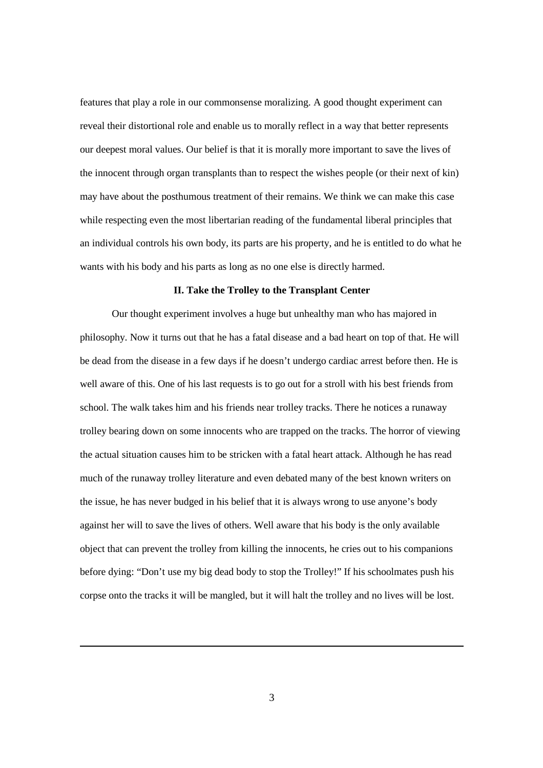features that play a role in our commonsense moralizing. A good thought experiment can reveal their distortional role and enable us to morally reflect in a way that better represents our deepest moral values. Our belief is that it is morally more important to save the lives of the innocent through organ transplants than to respect the wishes people (or their next of kin) may have about the posthumous treatment of their remains. We think we can make this case while respecting even the most libertarian reading of the fundamental liberal principles that an individual controls his own body, its parts are his property, and he is entitled to do what he wants with his body and his parts as long as no one else is directly harmed.

# **II. Take the Trolley to the Transplant Center**

Our thought experiment involves a huge but unhealthy man who has majored in philosophy. Now it turns out that he has a fatal disease and a bad heart on top of that. He will be dead from the disease in a few days if he doesn't undergo cardiac arrest before then. He is well aware of this. One of his last requests is to go out for a stroll with his best friends from school. The walk takes him and his friends near trolley tracks. There he notices a runaway trolley bearing down on some innocents who are trapped on the tracks. The horror of viewing the actual situation causes him to be stricken with a fatal heart attack. Although he has read much of the runaway trolley literature and even debated many of the best known writers on the issue, he has never budged in his belief that it is always wrong to use anyone's body against her will to save the lives of others. Well aware that his body is the only available object that can prevent the trolley from killing the innocents, he cries out to his companions before dying: "Don't use my big dead body to stop the Trolley!" If his schoolmates push his corpse onto the tracks it will be mangled, but it will halt the trolley and no lives will be lost.

 $\overline{a}$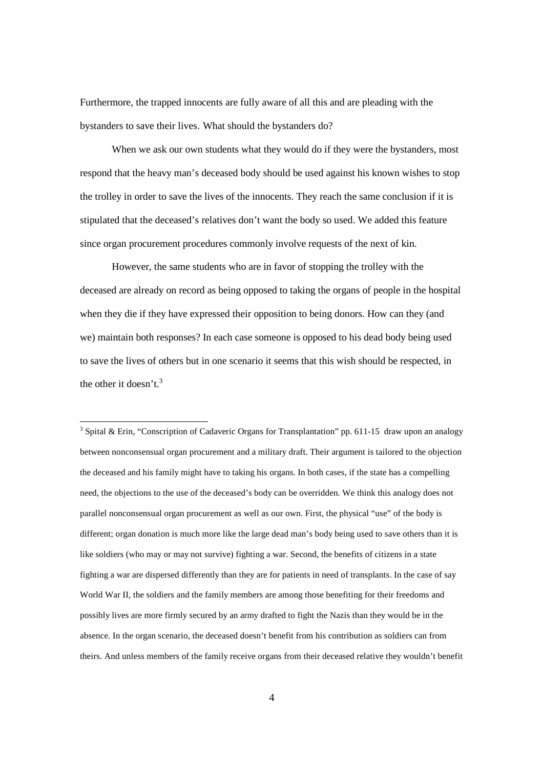Furthermore, the trapped innocents are fully aware of all this and are pleading with the bystanders to save their lives. What should the bystanders do?

When we ask our own students what they would do if they were the bystanders, most respond that the heavy man's deceased body should be used against his known wishes to stop the trolley in order to save the lives of the innocents. They reach the same conclusion if it is stipulated that the deceased's relatives don't want the body so used. We added this feature since organ procurement procedures commonly involve requests of the next of kin.

However, the same students who are in favor of stopping the trolley with the deceased are already on record as being opposed to taking the organs of people in the hospital when they die if they have expressed their opposition to being donors. How can they (and we) maintain both responses? In each case someone is opposed to his dead body being used to save the lives of others but in one scenario it seems that this wish should be respected, in the other it doesn't.<sup>3</sup>

-

<sup>3</sup> Spital & Erin, "Conscription of Cadaveric Organs for Transplantation" pp. 611-15 draw upon an analogy between nonconsensual organ procurement and a military draft. Their argument is tailored to the objection the deceased and his family might have to taking his organs. In both cases, if the state has a compelling need, the objections to the use of the deceased's body can be overridden. We think this analogy does not parallel nonconsensual organ procurement as well as our own. First, the physical "use" of the body is different; organ donation is much more like the large dead man's body being used to save others than it is like soldiers (who may or may not survive) fighting a war. Second, the benefits of citizens in a state fighting a war are dispersed differently than they are for patients in need of transplants. In the case of say World War II, the soldiers and the family members are among those benefiting for their freedoms and possibly lives are more firmly secured by an army drafted to fight the Nazis than they would be in the absence. In the organ scenario, the deceased doesn't benefit from his contribution as soldiers can from theirs. And unless members of the family receive organs from their deceased relative they wouldn't benefit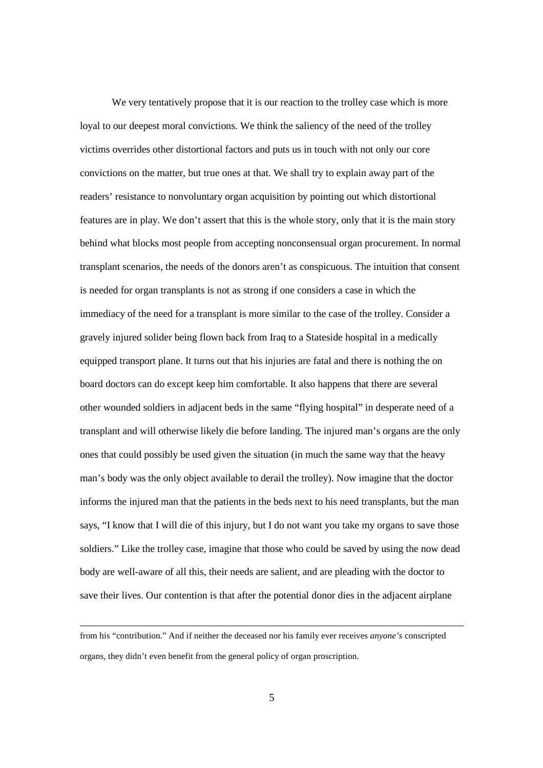We very tentatively propose that it is our reaction to the trolley case which is more loyal to our deepest moral convictions. We think the saliency of the need of the trolley victims overrides other distortional factors and puts us in touch with not only our core convictions on the matter, but true ones at that. We shall try to explain away part of the readers' resistance to nonvoluntary organ acquisition by pointing out which distortional features are in play. We don't assert that this is the whole story, only that it is the main story behind what blocks most people from accepting nonconsensual organ procurement. In normal transplant scenarios, the needs of the donors aren't as conspicuous. The intuition that consent is needed for organ transplants is not as strong if one considers a case in which the immediacy of the need for a transplant is more similar to the case of the trolley. Consider a gravely injured solider being flown back from Iraq to a Stateside hospital in a medically equipped transport plane. It turns out that his injuries are fatal and there is nothing the on board doctors can do except keep him comfortable. It also happens that there are several other wounded soldiers in adjacent beds in the same "flying hospital" in desperate need of a transplant and will otherwise likely die before landing. The injured man's organs are the only ones that could possibly be used given the situation (in much the same way that the heavy man's body was the only object available to derail the trolley). Now imagine that the doctor informs the injured man that the patients in the beds next to his need transplants, but the man says, "I know that I will die of this injury, but I do not want you take my organs to save those soldiers." Like the trolley case, imagine that those who could be saved by using the now dead body are well-aware of all this, their needs are salient, and are pleading with the doctor to save their lives. Our contention is that after the potential donor dies in the adjacent airplane

l

from his "contribution." And if neither the deceased nor his family ever receives *anyone's* conscripted organs, they didn't even benefit from the general policy of organ proscription.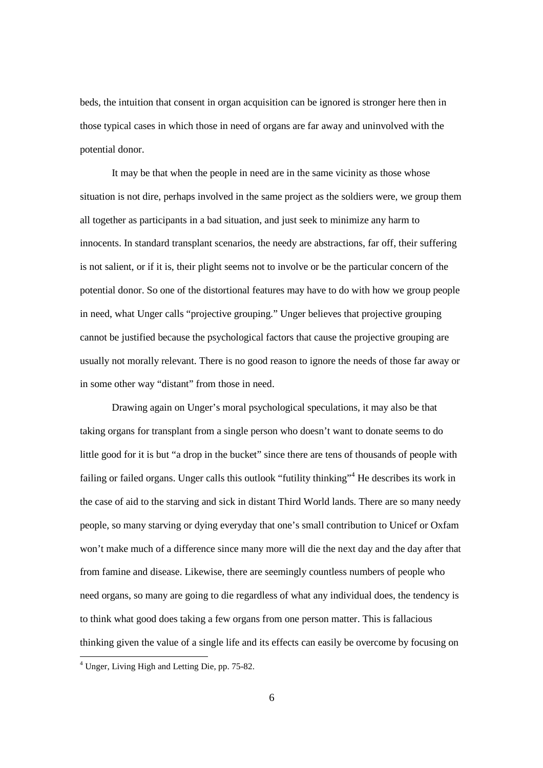beds, the intuition that consent in organ acquisition can be ignored is stronger here then in those typical cases in which those in need of organs are far away and uninvolved with the potential donor.

It may be that when the people in need are in the same vicinity as those whose situation is not dire, perhaps involved in the same project as the soldiers were, we group them all together as participants in a bad situation, and just seek to minimize any harm to innocents. In standard transplant scenarios, the needy are abstractions, far off, their suffering is not salient, or if it is, their plight seems not to involve or be the particular concern of the potential donor. So one of the distortional features may have to do with how we group people in need, what Unger calls "projective grouping." Unger believes that projective grouping cannot be justified because the psychological factors that cause the projective grouping are usually not morally relevant. There is no good reason to ignore the needs of those far away or in some other way "distant" from those in need.

Drawing again on Unger's moral psychological speculations, it may also be that taking organs for transplant from a single person who doesn't want to donate seems to do little good for it is but "a drop in the bucket" since there are tens of thousands of people with failing or failed organs. Unger calls this outlook "futility thinking"<sup>4</sup> He describes its work in the case of aid to the starving and sick in distant Third World lands. There are so many needy people, so many starving or dying everyday that one's small contribution to Unicef or Oxfam won't make much of a difference since many more will die the next day and the day after that from famine and disease. Likewise, there are seemingly countless numbers of people who need organs, so many are going to die regardless of what any individual does, the tendency is to think what good does taking a few organs from one person matter. This is fallacious thinking given the value of a single life and its effects can easily be overcome by focusing on

 4 Unger, Living High and Letting Die, pp. 75-82.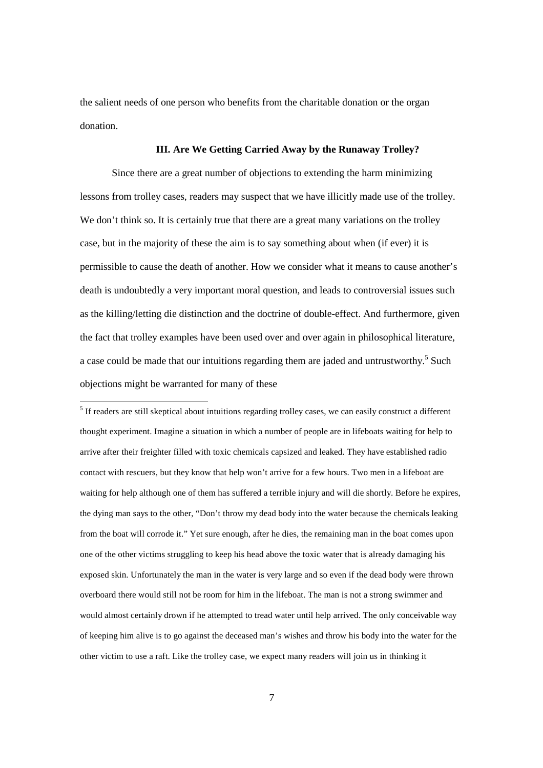the salient needs of one person who benefits from the charitable donation or the organ donation.

## **III. Are We Getting Carried Away by the Runaway Trolley?**

Since there are a great number of objections to extending the harm minimizing lessons from trolley cases, readers may suspect that we have illicitly made use of the trolley. We don't think so. It is certainly true that there are a great many variations on the trolley case, but in the majority of these the aim is to say something about when (if ever) it is permissible to cause the death of another. How we consider what it means to cause another's death is undoubtedly a very important moral question, and leads to controversial issues such as the killing/letting die distinction and the doctrine of double-effect. And furthermore, given the fact that trolley examples have been used over and over again in philosophical literature, a case could be made that our intuitions regarding them are jaded and untrustworthy.<sup>5</sup> Such objections might be warranted for many of these

 5 If readers are still skeptical about intuitions regarding trolley cases, we can easily construct a different thought experiment. Imagine a situation in which a number of people are in lifeboats waiting for help to arrive after their freighter filled with toxic chemicals capsized and leaked. They have established radio contact with rescuers, but they know that help won't arrive for a few hours. Two men in a lifeboat are waiting for help although one of them has suffered a terrible injury and will die shortly. Before he expires, the dying man says to the other, "Don't throw my dead body into the water because the chemicals leaking from the boat will corrode it." Yet sure enough, after he dies, the remaining man in the boat comes upon one of the other victims struggling to keep his head above the toxic water that is already damaging his exposed skin. Unfortunately the man in the water is very large and so even if the dead body were thrown overboard there would still not be room for him in the lifeboat. The man is not a strong swimmer and would almost certainly drown if he attempted to tread water until help arrived. The only conceivable way of keeping him alive is to go against the deceased man's wishes and throw his body into the water for the other victim to use a raft. Like the trolley case, we expect many readers will join us in thinking it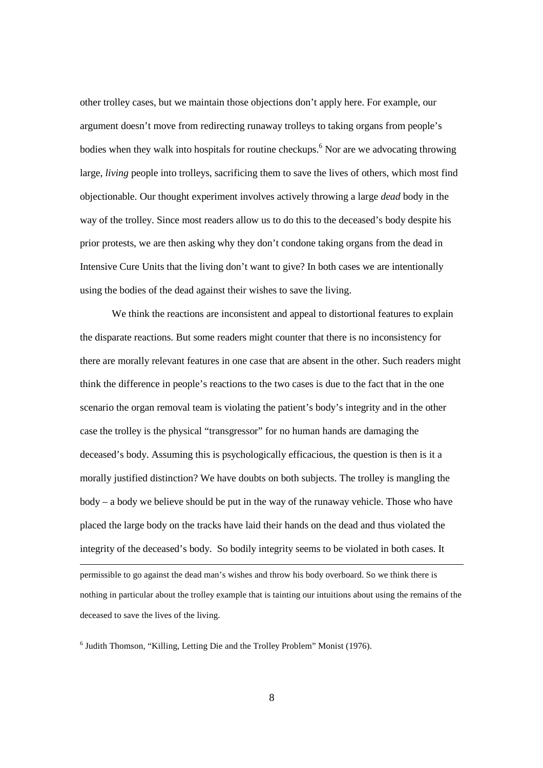other trolley cases, but we maintain those objections don't apply here. For example, our argument doesn't move from redirecting runaway trolleys to taking organs from people's bodies when they walk into hospitals for routine checkups.<sup>6</sup> Nor are we advocating throwing large, *living* people into trolleys, sacrificing them to save the lives of others, which most find objectionable. Our thought experiment involves actively throwing a large *dead* body in the way of the trolley. Since most readers allow us to do this to the deceased's body despite his prior protests, we are then asking why they don't condone taking organs from the dead in Intensive Cure Units that the living don't want to give? In both cases we are intentionally using the bodies of the dead against their wishes to save the living.

We think the reactions are inconsistent and appeal to distortional features to explain the disparate reactions. But some readers might counter that there is no inconsistency for there are morally relevant features in one case that are absent in the other. Such readers might think the difference in people's reactions to the two cases is due to the fact that in the one scenario the organ removal team is violating the patient's body's integrity and in the other case the trolley is the physical "transgressor" for no human hands are damaging the deceased's body. Assuming this is psychologically efficacious, the question is then is it a morally justified distinction? We have doubts on both subjects. The trolley is mangling the body – a body we believe should be put in the way of the runaway vehicle. Those who have placed the large body on the tracks have laid their hands on the dead and thus violated the integrity of the deceased's body. So bodily integrity seems to be violated in both cases. It l permissible to go against the dead man's wishes and throw his body overboard. So we think there is nothing in particular about the trolley example that is tainting our intuitions about using the remains of the

deceased to save the lives of the living.

<sup>6</sup> Judith Thomson, "Killing, Letting Die and the Trolley Problem" Monist (1976).

8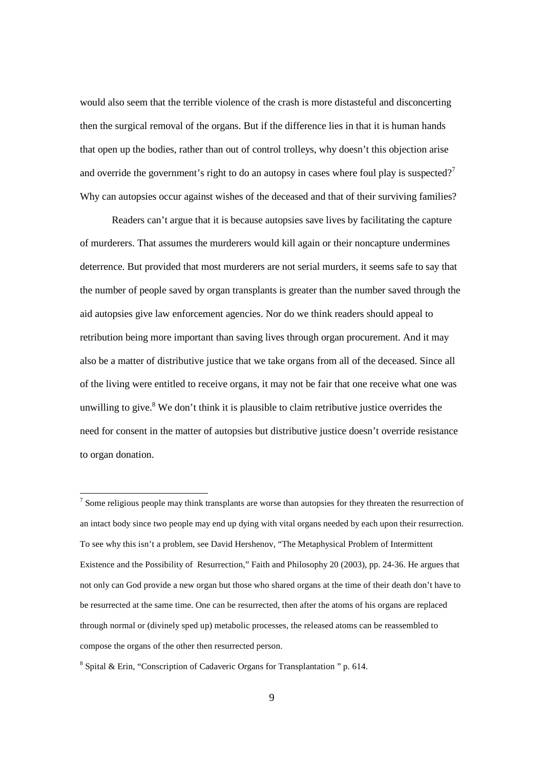would also seem that the terrible violence of the crash is more distasteful and disconcerting then the surgical removal of the organs. But if the difference lies in that it is human hands that open up the bodies, rather than out of control trolleys, why doesn't this objection arise and override the government's right to do an autopsy in cases where foul play is suspected?<sup>7</sup> Why can autopsies occur against wishes of the deceased and that of their surviving families?

Readers can't argue that it is because autopsies save lives by facilitating the capture of murderers. That assumes the murderers would kill again or their noncapture undermines deterrence. But provided that most murderers are not serial murders, it seems safe to say that the number of people saved by organ transplants is greater than the number saved through the aid autopsies give law enforcement agencies. Nor do we think readers should appeal to retribution being more important than saving lives through organ procurement. And it may also be a matter of distributive justice that we take organs from all of the deceased. Since all of the living were entitled to receive organs, it may not be fair that one receive what one was unwilling to give. $8$  We don't think it is plausible to claim retributive justice overrides the need for consent in the matter of autopsies but distributive justice doesn't override resistance to organ donation.

 $<sup>7</sup>$  Some religious people may think transplants are worse than autopsies for they threaten the resurrection of</sup> an intact body since two people may end up dying with vital organs needed by each upon their resurrection. To see why this isn't a problem, see David Hershenov, "The Metaphysical Problem of Intermittent Existence and the Possibility of Resurrection," Faith and Philosophy 20 (2003), pp. 24-36. He argues that not only can God provide a new organ but those who shared organs at the time of their death don't have to be resurrected at the same time. One can be resurrected, then after the atoms of his organs are replaced through normal or (divinely sped up) metabolic processes, the released atoms can be reassembled to compose the organs of the other then resurrected person.

<sup>&</sup>lt;sup>8</sup> Spital & Erin, "Conscription of Cadaveric Organs for Transplantation" p. 614.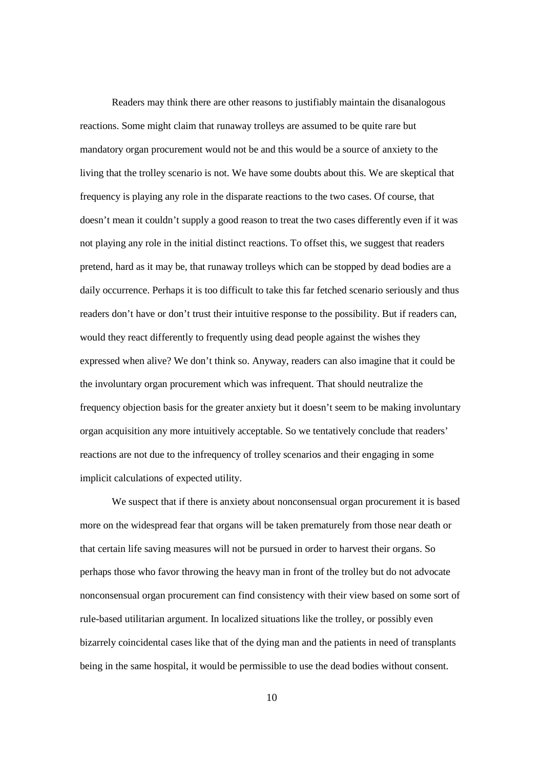Readers may think there are other reasons to justifiably maintain the disanalogous reactions. Some might claim that runaway trolleys are assumed to be quite rare but mandatory organ procurement would not be and this would be a source of anxiety to the living that the trolley scenario is not. We have some doubts about this. We are skeptical that frequency is playing any role in the disparate reactions to the two cases. Of course, that doesn't mean it couldn't supply a good reason to treat the two cases differently even if it was not playing any role in the initial distinct reactions. To offset this, we suggest that readers pretend, hard as it may be, that runaway trolleys which can be stopped by dead bodies are a daily occurrence. Perhaps it is too difficult to take this far fetched scenario seriously and thus readers don't have or don't trust their intuitive response to the possibility. But if readers can, would they react differently to frequently using dead people against the wishes they expressed when alive? We don't think so. Anyway, readers can also imagine that it could be the involuntary organ procurement which was infrequent. That should neutralize the frequency objection basis for the greater anxiety but it doesn't seem to be making involuntary organ acquisition any more intuitively acceptable. So we tentatively conclude that readers' reactions are not due to the infrequency of trolley scenarios and their engaging in some implicit calculations of expected utility.

We suspect that if there is anxiety about nonconsensual organ procurement it is based more on the widespread fear that organs will be taken prematurely from those near death or that certain life saving measures will not be pursued in order to harvest their organs. So perhaps those who favor throwing the heavy man in front of the trolley but do not advocate nonconsensual organ procurement can find consistency with their view based on some sort of rule-based utilitarian argument. In localized situations like the trolley, or possibly even bizarrely coincidental cases like that of the dying man and the patients in need of transplants being in the same hospital, it would be permissible to use the dead bodies without consent.

10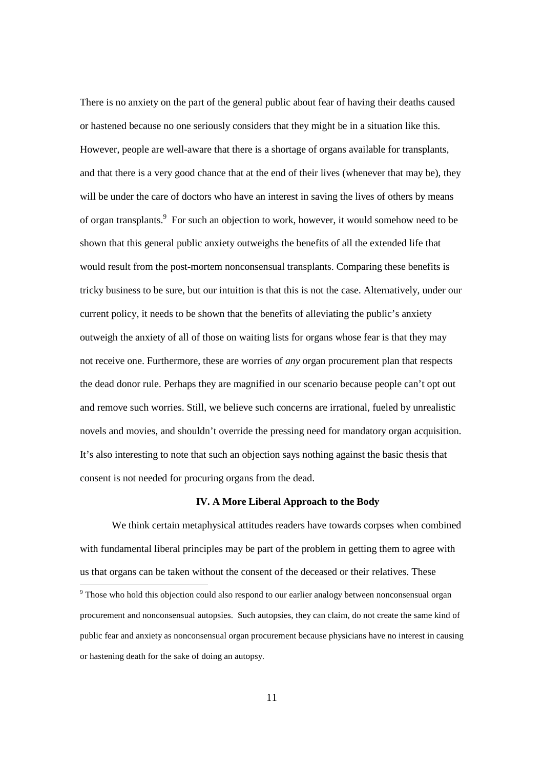There is no anxiety on the part of the general public about fear of having their deaths caused or hastened because no one seriously considers that they might be in a situation like this. However, people are well-aware that there is a shortage of organs available for transplants, and that there is a very good chance that at the end of their lives (whenever that may be), they will be under the care of doctors who have an interest in saving the lives of others by means of organ transplants.<sup>9</sup> For such an objection to work, however, it would somehow need to be shown that this general public anxiety outweighs the benefits of all the extended life that would result from the post-mortem nonconsensual transplants. Comparing these benefits is tricky business to be sure, but our intuition is that this is not the case. Alternatively, under our current policy, it needs to be shown that the benefits of alleviating the public's anxiety outweigh the anxiety of all of those on waiting lists for organs whose fear is that they may not receive one. Furthermore, these are worries of *any* organ procurement plan that respects the dead donor rule. Perhaps they are magnified in our scenario because people can't opt out and remove such worries. Still, we believe such concerns are irrational, fueled by unrealistic novels and movies, and shouldn't override the pressing need for mandatory organ acquisition. It's also interesting to note that such an objection says nothing against the basic thesis that consent is not needed for procuring organs from the dead.

### **IV. A More Liberal Approach to the Body**

We think certain metaphysical attitudes readers have towards corpses when combined with fundamental liberal principles may be part of the problem in getting them to agree with us that organs can be taken without the consent of the deceased or their relatives. These

Those who hold this objection could also respond to our earlier analogy between nonconsensual organ<br>Those who hold this objection could also respond to our earlier analogy between nonconsensual organ procurement and nonconsensual autopsies. Such autopsies, they can claim, do not create the same kind of public fear and anxiety as nonconsensual organ procurement because physicians have no interest in causing or hastening death for the sake of doing an autopsy.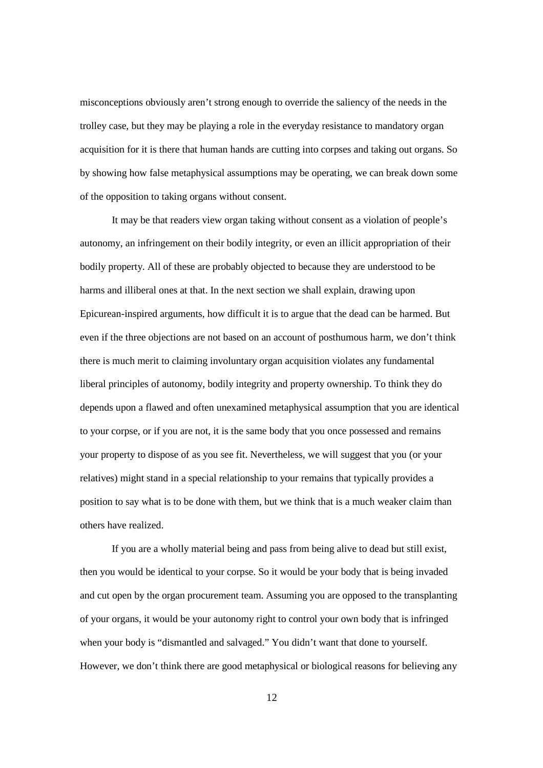misconceptions obviously aren't strong enough to override the saliency of the needs in the trolley case, but they may be playing a role in the everyday resistance to mandatory organ acquisition for it is there that human hands are cutting into corpses and taking out organs. So by showing how false metaphysical assumptions may be operating, we can break down some of the opposition to taking organs without consent.

It may be that readers view organ taking without consent as a violation of people's autonomy, an infringement on their bodily integrity, or even an illicit appropriation of their bodily property. All of these are probably objected to because they are understood to be harms and illiberal ones at that. In the next section we shall explain, drawing upon Epicurean-inspired arguments, how difficult it is to argue that the dead can be harmed. But even if the three objections are not based on an account of posthumous harm, we don't think there is much merit to claiming involuntary organ acquisition violates any fundamental liberal principles of autonomy, bodily integrity and property ownership. To think they do depends upon a flawed and often unexamined metaphysical assumption that you are identical to your corpse, or if you are not, it is the same body that you once possessed and remains your property to dispose of as you see fit. Nevertheless, we will suggest that you (or your relatives) might stand in a special relationship to your remains that typically provides a position to say what is to be done with them, but we think that is a much weaker claim than others have realized.

If you are a wholly material being and pass from being alive to dead but still exist, then you would be identical to your corpse. So it would be your body that is being invaded and cut open by the organ procurement team. Assuming you are opposed to the transplanting of your organs, it would be your autonomy right to control your own body that is infringed when your body is "dismantled and salvaged." You didn't want that done to yourself. However, we don't think there are good metaphysical or biological reasons for believing any

12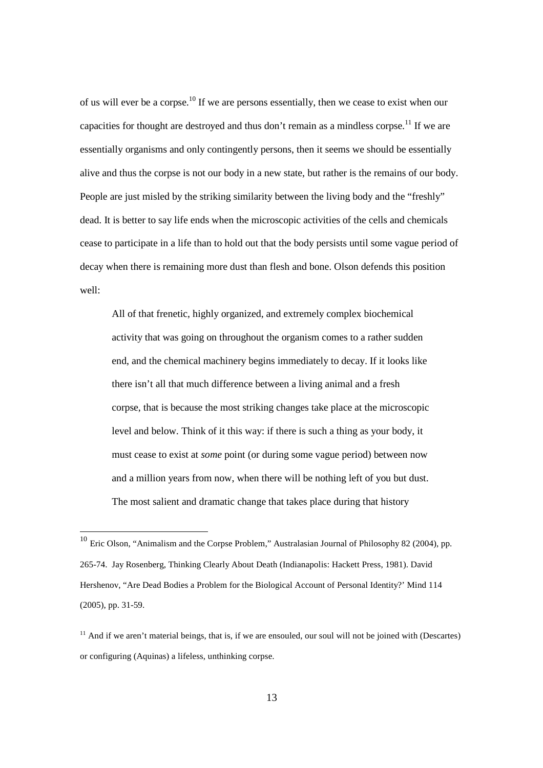of us will ever be a corpse.<sup>10</sup> If we are persons essentially, then we cease to exist when our capacities for thought are destroyed and thus don't remain as a mindless corpse.<sup>11</sup> If we are essentially organisms and only contingently persons, then it seems we should be essentially alive and thus the corpse is not our body in a new state, but rather is the remains of our body. People are just misled by the striking similarity between the living body and the "freshly" dead. It is better to say life ends when the microscopic activities of the cells and chemicals cease to participate in a life than to hold out that the body persists until some vague period of decay when there is remaining more dust than flesh and bone. Olson defends this position well:

All of that frenetic, highly organized, and extremely complex biochemical activity that was going on throughout the organism comes to a rather sudden end, and the chemical machinery begins immediately to decay. If it looks like there isn't all that much difference between a living animal and a fresh corpse, that is because the most striking changes take place at the microscopic level and below. Think of it this way: if there is such a thing as your body, it must cease to exist at *some* point (or during some vague period) between now and a million years from now, when there will be nothing left of you but dust. The most salient and dramatic change that takes place during that history

 $10$  Eric Olson, "Animalism and the Corpse Problem," Australasian Journal of Philosophy 82 (2004), pp. 265-74. Jay Rosenberg, Thinking Clearly About Death (Indianapolis: Hackett Press, 1981). David Hershenov, "Are Dead Bodies a Problem for the Biological Account of Personal Identity?' Mind 114 (2005), pp. 31-59.

 $11$  And if we aren't material beings, that is, if we are ensouled, our soul will not be joined with (Descartes) or configuring (Aquinas) a lifeless, unthinking corpse.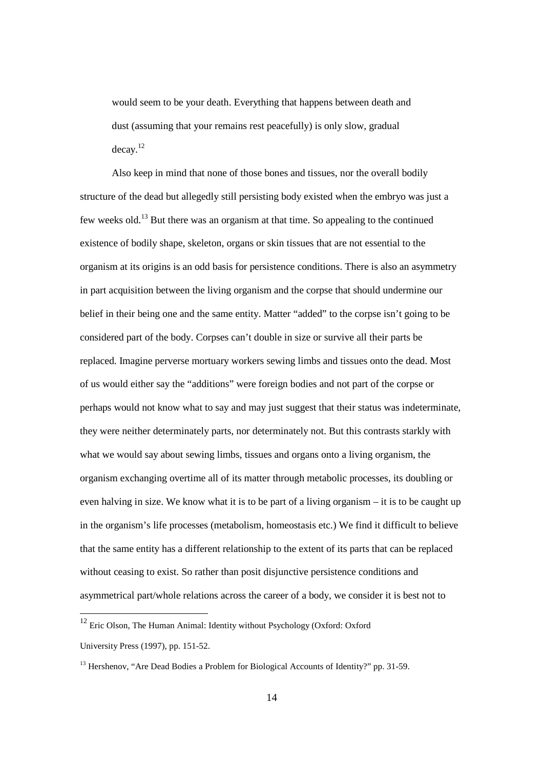would seem to be your death. Everything that happens between death and dust (assuming that your remains rest peacefully) is only slow, gradual decay.<sup>12</sup>

Also keep in mind that none of those bones and tissues, nor the overall bodily structure of the dead but allegedly still persisting body existed when the embryo was just a few weeks old.<sup>13</sup> But there was an organism at that time. So appealing to the continued existence of bodily shape, skeleton, organs or skin tissues that are not essential to the organism at its origins is an odd basis for persistence conditions. There is also an asymmetry in part acquisition between the living organism and the corpse that should undermine our belief in their being one and the same entity. Matter "added" to the corpse isn't going to be considered part of the body. Corpses can't double in size or survive all their parts be replaced. Imagine perverse mortuary workers sewing limbs and tissues onto the dead. Most of us would either say the "additions" were foreign bodies and not part of the corpse or perhaps would not know what to say and may just suggest that their status was indeterminate, they were neither determinately parts, nor determinately not. But this contrasts starkly with what we would say about sewing limbs, tissues and organs onto a living organism, the organism exchanging overtime all of its matter through metabolic processes, its doubling or even halving in size. We know what it is to be part of a living organism – it is to be caught up in the organism's life processes (metabolism, homeostasis etc.) We find it difficult to believe that the same entity has a different relationship to the extent of its parts that can be replaced without ceasing to exist. So rather than posit disjunctive persistence conditions and asymmetrical part/whole relations across the career of a body, we consider it is best not to

<sup>&</sup>lt;sup>12</sup> Eric Olson, The Human Animal: Identity without Psychology (Oxford: Oxford University Press (1997), pp. 151-52.

<sup>&</sup>lt;sup>13</sup> Hershenov, "Are Dead Bodies a Problem for Biological Accounts of Identity?" pp. 31-59.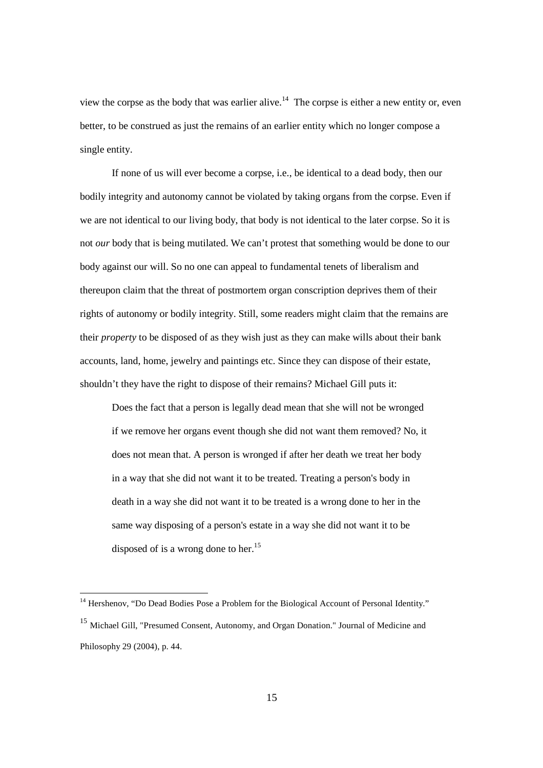view the corpse as the body that was earlier alive.<sup>14</sup> The corpse is either a new entity or, even better, to be construed as just the remains of an earlier entity which no longer compose a single entity.

If none of us will ever become a corpse, i.e., be identical to a dead body, then our bodily integrity and autonomy cannot be violated by taking organs from the corpse. Even if we are not identical to our living body, that body is not identical to the later corpse. So it is not *our* body that is being mutilated. We can't protest that something would be done to our body against our will. So no one can appeal to fundamental tenets of liberalism and thereupon claim that the threat of postmortem organ conscription deprives them of their rights of autonomy or bodily integrity. Still, some readers might claim that the remains are their *property* to be disposed of as they wish just as they can make wills about their bank accounts, land, home, jewelry and paintings etc. Since they can dispose of their estate, shouldn't they have the right to dispose of their remains? Michael Gill puts it:

Does the fact that a person is legally dead mean that she will not be wronged if we remove her organs event though she did not want them removed? No, it does not mean that. A person is wronged if after her death we treat her body in a way that she did not want it to be treated. Treating a person's body in death in a way she did not want it to be treated is a wrong done to her in the same way disposing of a person's estate in a way she did not want it to be disposed of is a wrong done to her.<sup>15</sup>

<sup>&</sup>lt;sup>14</sup> Hershenov, "Do Dead Bodies Pose a Problem for the Biological Account of Personal Identity."

<sup>15</sup> Michael Gill, "Presumed Consent, Autonomy, and Organ Donation." Journal of Medicine and Philosophy 29 (2004), p. 44.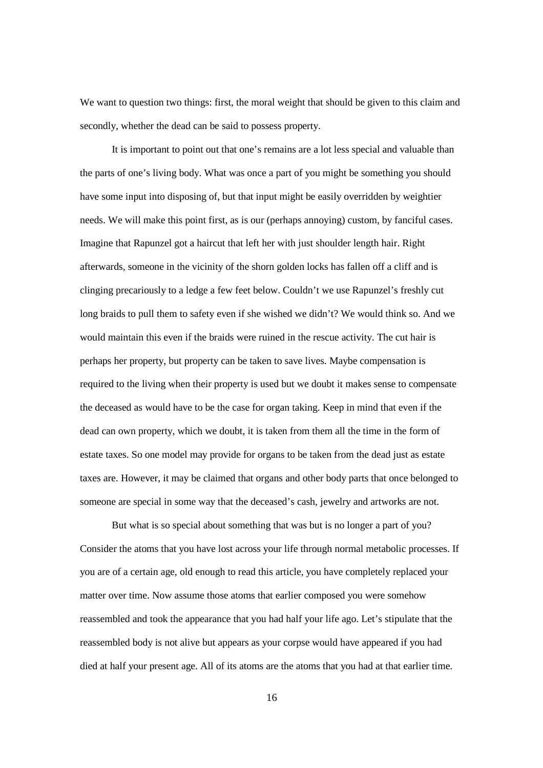We want to question two things: first, the moral weight that should be given to this claim and secondly, whether the dead can be said to possess property.

It is important to point out that one's remains are a lot less special and valuable than the parts of one's living body. What was once a part of you might be something you should have some input into disposing of, but that input might be easily overridden by weightier needs. We will make this point first, as is our (perhaps annoying) custom, by fanciful cases. Imagine that Rapunzel got a haircut that left her with just shoulder length hair. Right afterwards, someone in the vicinity of the shorn golden locks has fallen off a cliff and is clinging precariously to a ledge a few feet below. Couldn't we use Rapunzel's freshly cut long braids to pull them to safety even if she wished we didn't? We would think so. And we would maintain this even if the braids were ruined in the rescue activity. The cut hair is perhaps her property, but property can be taken to save lives. Maybe compensation is required to the living when their property is used but we doubt it makes sense to compensate the deceased as would have to be the case for organ taking. Keep in mind that even if the dead can own property, which we doubt, it is taken from them all the time in the form of estate taxes. So one model may provide for organs to be taken from the dead just as estate taxes are. However, it may be claimed that organs and other body parts that once belonged to someone are special in some way that the deceased's cash, jewelry and artworks are not.

But what is so special about something that was but is no longer a part of you? Consider the atoms that you have lost across your life through normal metabolic processes. If you are of a certain age, old enough to read this article, you have completely replaced your matter over time. Now assume those atoms that earlier composed you were somehow reassembled and took the appearance that you had half your life ago. Let's stipulate that the reassembled body is not alive but appears as your corpse would have appeared if you had died at half your present age. All of its atoms are the atoms that you had at that earlier time.

16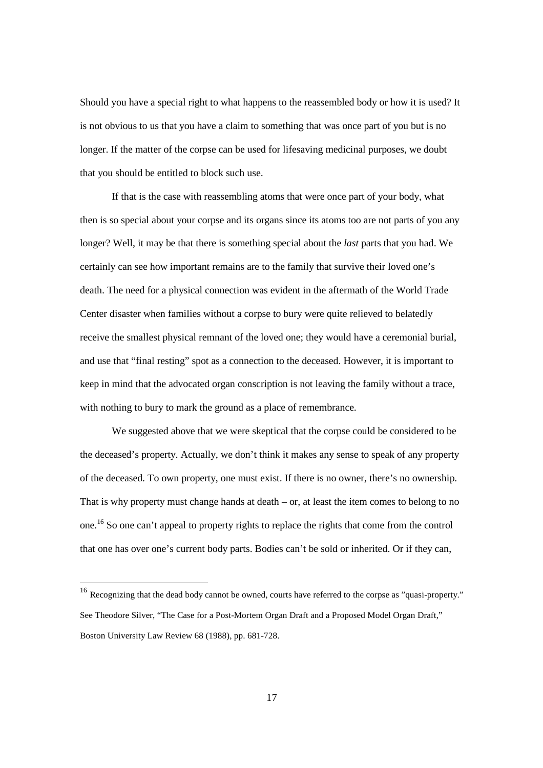Should you have a special right to what happens to the reassembled body or how it is used? It is not obvious to us that you have a claim to something that was once part of you but is no longer. If the matter of the corpse can be used for lifesaving medicinal purposes, we doubt that you should be entitled to block such use.

If that is the case with reassembling atoms that were once part of your body, what then is so special about your corpse and its organs since its atoms too are not parts of you any longer? Well, it may be that there is something special about the *last* parts that you had. We certainly can see how important remains are to the family that survive their loved one's death. The need for a physical connection was evident in the aftermath of the World Trade Center disaster when families without a corpse to bury were quite relieved to belatedly receive the smallest physical remnant of the loved one; they would have a ceremonial burial, and use that "final resting" spot as a connection to the deceased. However, it is important to keep in mind that the advocated organ conscription is not leaving the family without a trace, with nothing to bury to mark the ground as a place of remembrance.

We suggested above that we were skeptical that the corpse could be considered to be the deceased's property. Actually, we don't think it makes any sense to speak of any property of the deceased. To own property, one must exist. If there is no owner, there's no ownership. That is why property must change hands at death  $-$  or, at least the item comes to belong to no one.<sup>16</sup> So one can't appeal to property rights to replace the rights that come from the control that one has over one's current body parts. Bodies can't be sold or inherited. Or if they can,

 $\overline{\phantom{a}}$ 

<sup>&</sup>lt;sup>16</sup> Recognizing that the dead body cannot be owned, courts have referred to the corpse as "quasi-property." See Theodore Silver, "The Case for a Post-Mortem Organ Draft and a Proposed Model Organ Draft," Boston University Law Review 68 (1988), pp. 681-728.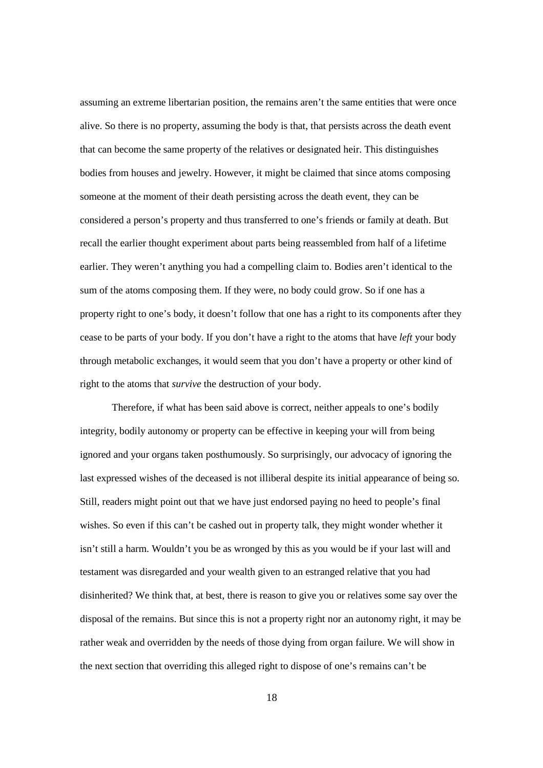assuming an extreme libertarian position, the remains aren't the same entities that were once alive. So there is no property, assuming the body is that, that persists across the death event that can become the same property of the relatives or designated heir. This distinguishes bodies from houses and jewelry. However, it might be claimed that since atoms composing someone at the moment of their death persisting across the death event, they can be considered a person's property and thus transferred to one's friends or family at death. But recall the earlier thought experiment about parts being reassembled from half of a lifetime earlier. They weren't anything you had a compelling claim to. Bodies aren't identical to the sum of the atoms composing them. If they were, no body could grow. So if one has a property right to one's body, it doesn't follow that one has a right to its components after they cease to be parts of your body. If you don't have a right to the atoms that have *left* your body through metabolic exchanges, it would seem that you don't have a property or other kind of right to the atoms that *survive* the destruction of your body.

Therefore, if what has been said above is correct, neither appeals to one's bodily integrity, bodily autonomy or property can be effective in keeping your will from being ignored and your organs taken posthumously. So surprisingly, our advocacy of ignoring the last expressed wishes of the deceased is not illiberal despite its initial appearance of being so. Still, readers might point out that we have just endorsed paying no heed to people's final wishes. So even if this can't be cashed out in property talk, they might wonder whether it isn't still a harm. Wouldn't you be as wronged by this as you would be if your last will and testament was disregarded and your wealth given to an estranged relative that you had disinherited? We think that, at best, there is reason to give you or relatives some say over the disposal of the remains. But since this is not a property right nor an autonomy right, it may be rather weak and overridden by the needs of those dying from organ failure. We will show in the next section that overriding this alleged right to dispose of one's remains can't be

18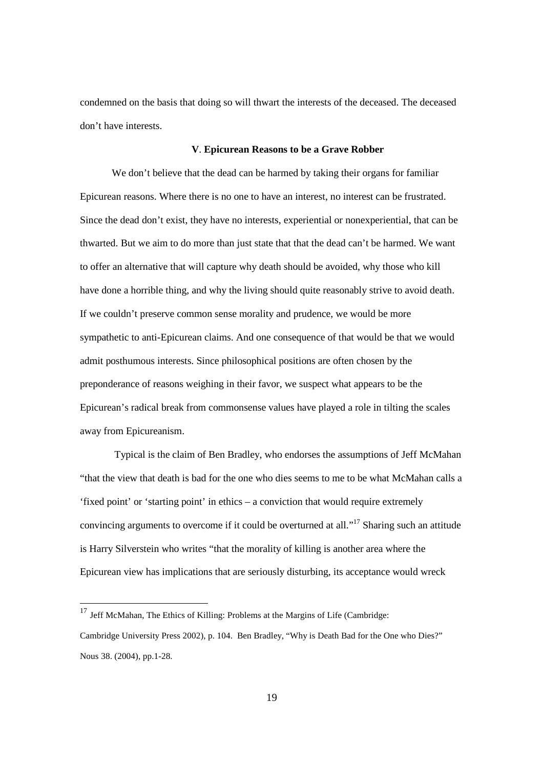condemned on the basis that doing so will thwart the interests of the deceased. The deceased don't have interests.

## **V**. **Epicurean Reasons to be a Grave Robber**

We don't believe that the dead can be harmed by taking their organs for familiar Epicurean reasons. Where there is no one to have an interest, no interest can be frustrated. Since the dead don't exist, they have no interests, experiential or nonexperiential, that can be thwarted. But we aim to do more than just state that that the dead can't be harmed. We want to offer an alternative that will capture why death should be avoided, why those who kill have done a horrible thing, and why the living should quite reasonably strive to avoid death. If we couldn't preserve common sense morality and prudence, we would be more sympathetic to anti-Epicurean claims. And one consequence of that would be that we would admit posthumous interests. Since philosophical positions are often chosen by the preponderance of reasons weighing in their favor, we suspect what appears to be the Epicurean's radical break from commonsense values have played a role in tilting the scales away from Epicureanism.

 Typical is the claim of Ben Bradley, who endorses the assumptions of Jeff McMahan "that the view that death is bad for the one who dies seems to me to be what McMahan calls a 'fixed point' or 'starting point' in ethics – a conviction that would require extremely convincing arguments to overcome if it could be overturned at all."<sup>17</sup> Sharing such an attitude is Harry Silverstein who writes "that the morality of killing is another area where the Epicurean view has implications that are seriously disturbing, its acceptance would wreck

 $17$  Jeff McMahan, The Ethics of Killing: Problems at the Margins of Life (Cambridge:

Cambridge University Press 2002), p. 104. Ben Bradley, "Why is Death Bad for the One who Dies?" Nous 38. (2004), pp.1-28.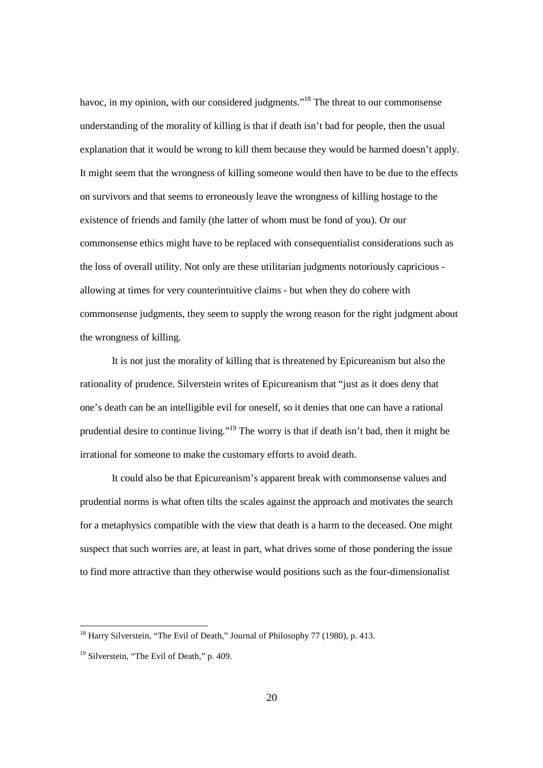havoc, in my opinion, with our considered judgments."<sup>18</sup> The threat to our commonsense understanding of the morality of killing is that if death isn't bad for people, then the usual explanation that it would be wrong to kill them because they would be harmed doesn't apply. It might seem that the wrongness of killing someone would then have to be due to the effects on survivors and that seems to erroneously leave the wrongness of killing hostage to the existence of friends and family (the latter of whom must be fond of you). Or our commonsense ethics might have to be replaced with consequentialist considerations such as the loss of overall utility. Not only are these utilitarian judgments notoriously capricious allowing at times for very counterintuitive claims - but when they do cohere with commonsense judgments, they seem to supply the wrong reason for the right judgment about the wrongness of killing.

It is not just the morality of killing that is threatened by Epicureanism but also the rationality of prudence. Silverstein writes of Epicureanism that "just as it does deny that one's death can be an intelligible evil for oneself, so it denies that one can have a rational prudential desire to continue living."<sup>19</sup> The worry is that if death isn't bad, then it might be irrational for someone to make the customary efforts to avoid death.

It could also be that Epicureanism's apparent break with commonsense values and prudential norms is what often tilts the scales against the approach and motivates the search for a metaphysics compatible with the view that death is a harm to the deceased. One might suspect that such worries are, at least in part, what drives some of those pondering the issue to find more attractive than they otherwise would positions such as the four-dimensionalist

<sup>&</sup>lt;sup>18</sup> Harry Silverstein, "The Evil of Death," Journal of Philosophy 77 (1980), p. 413.

<sup>&</sup>lt;sup>19</sup> Silverstein, "The Evil of Death," p. 409.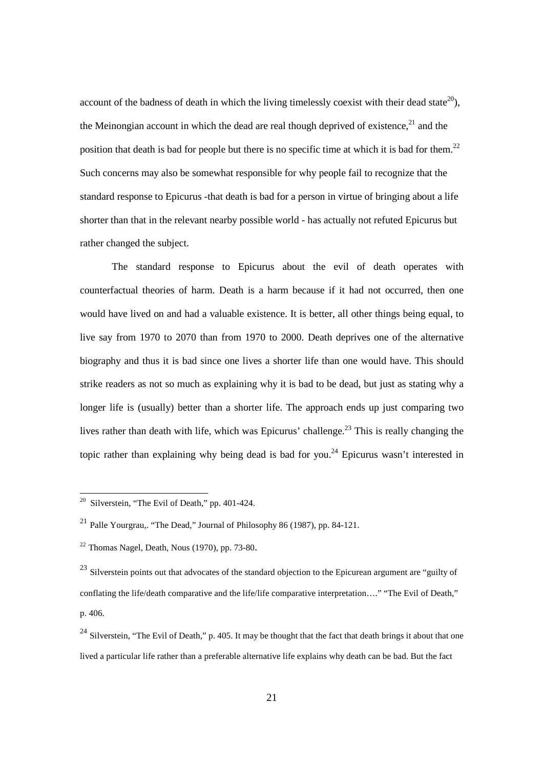account of the badness of death in which the living timelessly coexist with their dead state<sup>20</sup>), the Meinongian account in which the dead are real though deprived of existence.<sup>21</sup> and the position that death is bad for people but there is no specific time at which it is bad for them.<sup>22</sup> Such concerns may also be somewhat responsible for why people fail to recognize that the standard response to Epicurus -that death is bad for a person in virtue of bringing about a life shorter than that in the relevant nearby possible world - has actually not refuted Epicurus but rather changed the subject.

The standard response to Epicurus about the evil of death operates with counterfactual theories of harm. Death is a harm because if it had not occurred, then one would have lived on and had a valuable existence. It is better, all other things being equal, to live say from 1970 to 2070 than from 1970 to 2000. Death deprives one of the alternative biography and thus it is bad since one lives a shorter life than one would have. This should strike readers as not so much as explaining why it is bad to be dead, but just as stating why a longer life is (usually) better than a shorter life. The approach ends up just comparing two lives rather than death with life, which was Epicurus' challenge.<sup>23</sup> This is really changing the topic rather than explaining why being dead is bad for you.<sup>24</sup> Epicurus wasn't interested in

 $20$  Silverstein, "The Evil of Death," pp. 401-424.

<sup>&</sup>lt;sup>21</sup> Palle Yourgrau,. "The Dead," Journal of Philosophy 86 (1987), pp. 84-121.

 $22$  Thomas Nagel, Death, Nous (1970), pp. 73-80.

 $^{23}$  Silverstein points out that advocates of the standard objection to the Epicurean argument are "guilty of conflating the life/death comparative and the life/life comparative interpretation…." "The Evil of Death," p. 406.

<sup>&</sup>lt;sup>24</sup> Silverstein, "The Evil of Death," p. 405. It may be thought that the fact that death brings it about that one lived a particular life rather than a preferable alternative life explains why death can be bad. But the fact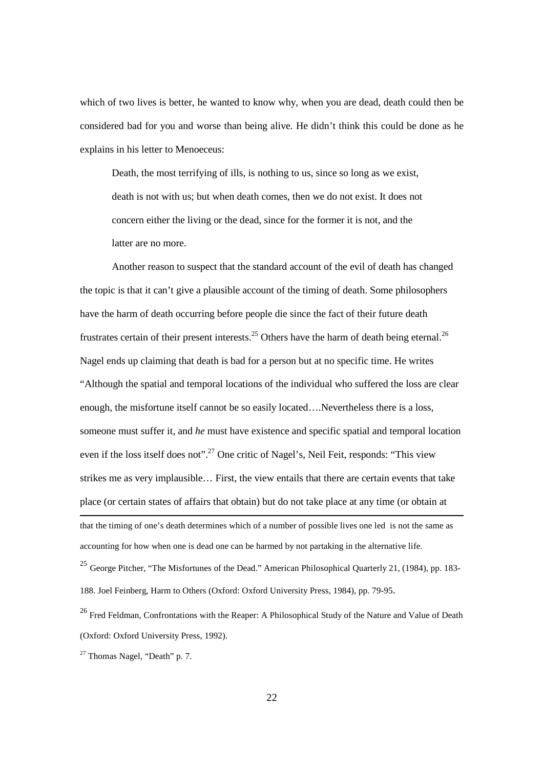which of two lives is better, he wanted to know why, when you are dead, death could then be considered bad for you and worse than being alive. He didn't think this could be done as he explains in his letter to Menoeceus:

Death, the most terrifying of ills, is nothing to us, since so long as we exist, death is not with us; but when death comes, then we do not exist. It does not concern either the living or the dead, since for the former it is not, and the latter are no more.

Another reason to suspect that the standard account of the evil of death has changed the topic is that it can't give a plausible account of the timing of death. Some philosophers have the harm of death occurring before people die since the fact of their future death frustrates certain of their present interests.<sup>25</sup> Others have the harm of death being eternal.<sup>26</sup> Nagel ends up claiming that death is bad for a person but at no specific time. He writes "Although the spatial and temporal locations of the individual who suffered the loss are clear enough, the misfortune itself cannot be so easily located….Nevertheless there is a loss, someone must suffer it, and *he* must have existence and specific spatial and temporal location even if the loss itself does not".<sup>27</sup> One critic of Nagel's, Neil Feit, responds: "This view" strikes me as very implausible… First, the view entails that there are certain events that take place (or certain states of affairs that obtain) but do not take place at any time (or obtain at l that the timing of one's death determines which of a number of possible lives one led is not the same as accounting for how when one is dead one can be harmed by not partaking in the alternative life.

<sup>25</sup> George Pitcher, "The Misfortunes of the Dead." American Philosophical Quarterly 21, (1984), pp. 183-188. Joel Feinberg, Harm to Others (Oxford: Oxford University Press, 1984), pp. 79-95.

<sup>26</sup> Fred Feldman, Confrontations with the Reaper: A Philosophical Study of the Nature and Value of Death (Oxford: Oxford University Press, 1992).

<sup>27</sup> Thomas Nagel, "Death" p. 7.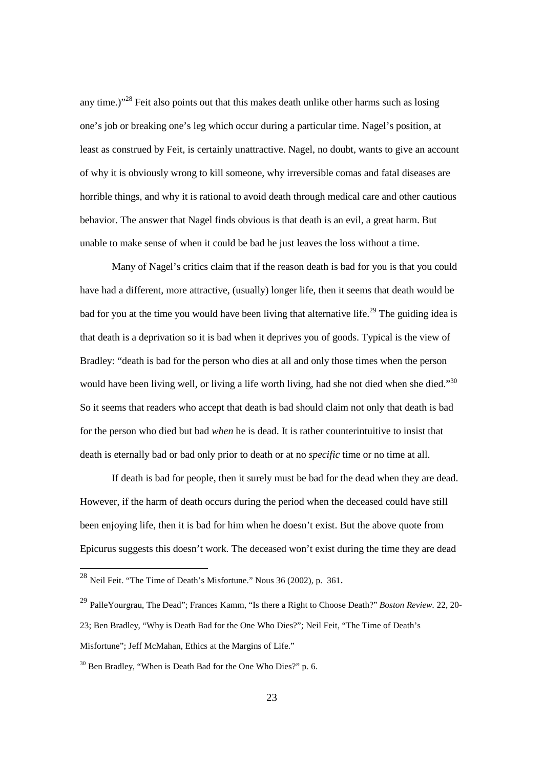any time.) $1^{28}$  Feit also points out that this makes death unlike other harms such as losing one's job or breaking one's leg which occur during a particular time. Nagel's position, at least as construed by Feit, is certainly unattractive. Nagel, no doubt, wants to give an account of why it is obviously wrong to kill someone, why irreversible comas and fatal diseases are horrible things, and why it is rational to avoid death through medical care and other cautious behavior. The answer that Nagel finds obvious is that death is an evil, a great harm. But unable to make sense of when it could be bad he just leaves the loss without a time.

Many of Nagel's critics claim that if the reason death is bad for you is that you could have had a different, more attractive, (usually) longer life, then it seems that death would be bad for you at the time you would have been living that alternative life.<sup>29</sup> The guiding idea is that death is a deprivation so it is bad when it deprives you of goods. Typical is the view of Bradley: "death is bad for the person who dies at all and only those times when the person would have been living well, or living a life worth living, had she not died when she died."30 So it seems that readers who accept that death is bad should claim not only that death is bad for the person who died but bad *when* he is dead. It is rather counterintuitive to insist that death is eternally bad or bad only prior to death or at no *specific* time or no time at all.

If death is bad for people, then it surely must be bad for the dead when they are dead. However, if the harm of death occurs during the period when the deceased could have still been enjoying life, then it is bad for him when he doesn't exist. But the above quote from Epicurus suggests this doesn't work. The deceased won't exist during the time they are dead

 $^{28}$  Neil Feit. "The Time of Death's Misfortune." Nous 36 (2002), p. 361.

<sup>29</sup> PalleYourgrau, The Dead"; Frances Kamm, "Is there a Right to Choose Death?" *Boston Review.* 22, 20- 23; Ben Bradley, "Why is Death Bad for the One Who Dies?"; Neil Feit, "The Time of Death's Misfortune"; Jeff McMahan, Ethics at the Margins of Life."

<sup>&</sup>lt;sup>30</sup> Ben Bradley, "When is Death Bad for the One Who Dies?" p. 6.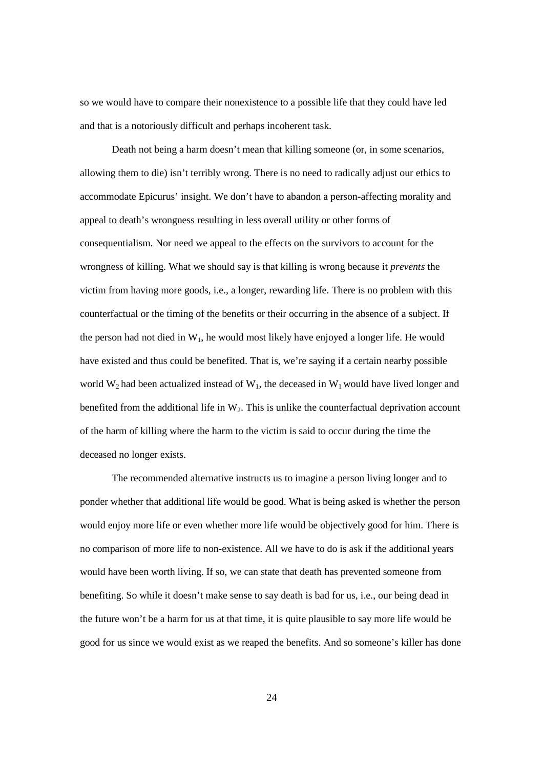so we would have to compare their nonexistence to a possible life that they could have led and that is a notoriously difficult and perhaps incoherent task.

Death not being a harm doesn't mean that killing someone (or, in some scenarios, allowing them to die) isn't terribly wrong. There is no need to radically adjust our ethics to accommodate Epicurus' insight. We don't have to abandon a person-affecting morality and appeal to death's wrongness resulting in less overall utility or other forms of consequentialism. Nor need we appeal to the effects on the survivors to account for the wrongness of killing. What we should say is that killing is wrong because it *prevents* the victim from having more goods, i.e., a longer, rewarding life. There is no problem with this counterfactual or the timing of the benefits or their occurring in the absence of a subject. If the person had not died in  $W_1$ , he would most likely have enjoyed a longer life. He would have existed and thus could be benefited. That is, we're saying if a certain nearby possible world  $W_2$  had been actualized instead of  $W_1$ , the deceased in  $W_1$  would have lived longer and benefited from the additional life in  $W_2$ . This is unlike the counterfactual deprivation account of the harm of killing where the harm to the victim is said to occur during the time the deceased no longer exists.

The recommended alternative instructs us to imagine a person living longer and to ponder whether that additional life would be good. What is being asked is whether the person would enjoy more life or even whether more life would be objectively good for him. There is no comparison of more life to non-existence. All we have to do is ask if the additional years would have been worth living. If so, we can state that death has prevented someone from benefiting. So while it doesn't make sense to say death is bad for us, i.e., our being dead in the future won't be a harm for us at that time, it is quite plausible to say more life would be good for us since we would exist as we reaped the benefits. And so someone's killer has done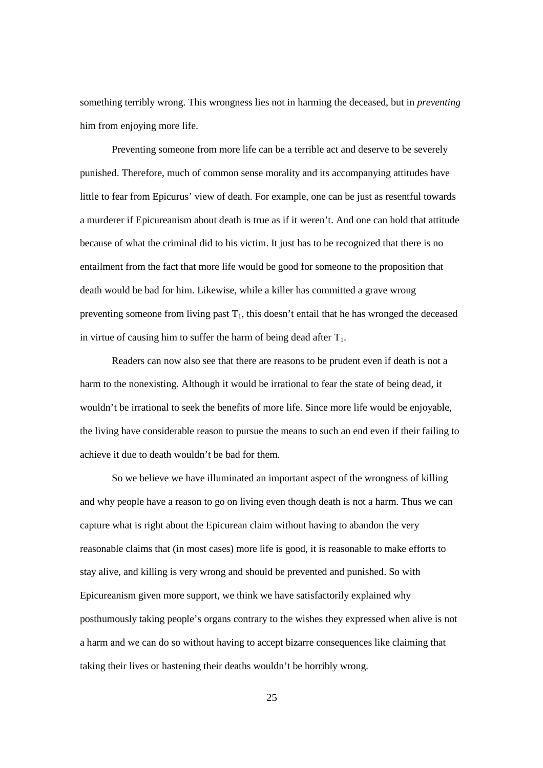something terribly wrong. This wrongness lies not in harming the deceased, but in *preventing* him from enjoying more life.

Preventing someone from more life can be a terrible act and deserve to be severely punished. Therefore, much of common sense morality and its accompanying attitudes have little to fear from Epicurus' view of death. For example, one can be just as resentful towards a murderer if Epicureanism about death is true as if it weren't. And one can hold that attitude because of what the criminal did to his victim. It just has to be recognized that there is no entailment from the fact that more life would be good for someone to the proposition that death would be bad for him. Likewise, while a killer has committed a grave wrong preventing someone from living past  $T_1$ , this doesn't entail that he has wronged the deceased in virtue of causing him to suffer the harm of being dead after  $T_1$ .

Readers can now also see that there are reasons to be prudent even if death is not a harm to the nonexisting. Although it would be irrational to fear the state of being dead, it wouldn't be irrational to seek the benefits of more life. Since more life would be enjoyable, the living have considerable reason to pursue the means to such an end even if their failing to achieve it due to death wouldn't be bad for them.

So we believe we have illuminated an important aspect of the wrongness of killing and why people have a reason to go on living even though death is not a harm. Thus we can capture what is right about the Epicurean claim without having to abandon the very reasonable claims that (in most cases) more life is good, it is reasonable to make efforts to stay alive, and killing is very wrong and should be prevented and punished. So with Epicureanism given more support, we think we have satisfactorily explained why posthumously taking people's organs contrary to the wishes they expressed when alive is not a harm and we can do so without having to accept bizarre consequences like claiming that taking their lives or hastening their deaths wouldn't be horribly wrong.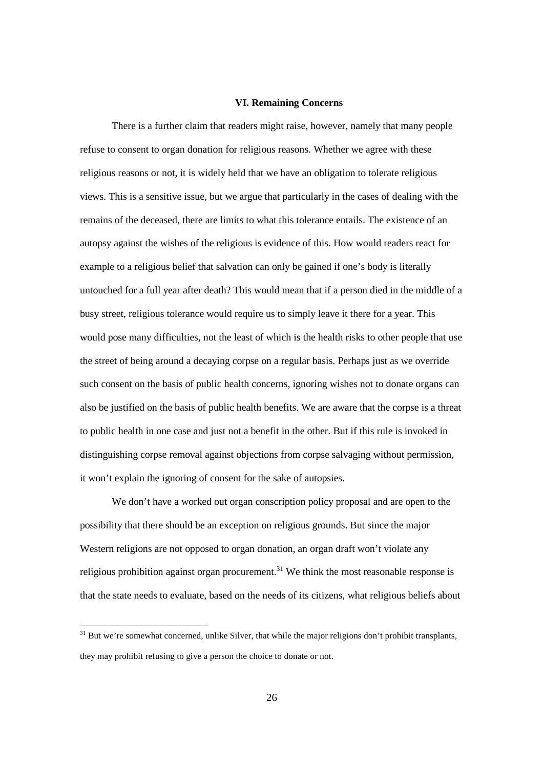#### **VI. Remaining Concerns**

There is a further claim that readers might raise, however, namely that many people refuse to consent to organ donation for religious reasons. Whether we agree with these religious reasons or not, it is widely held that we have an obligation to tolerate religious views. This is a sensitive issue, but we argue that particularly in the cases of dealing with the remains of the deceased, there are limits to what this tolerance entails. The existence of an autopsy against the wishes of the religious is evidence of this. How would readers react for example to a religious belief that salvation can only be gained if one's body is literally untouched for a full year after death? This would mean that if a person died in the middle of a busy street, religious tolerance would require us to simply leave it there for a year. This would pose many difficulties, not the least of which is the health risks to other people that use the street of being around a decaying corpse on a regular basis. Perhaps just as we override such consent on the basis of public health concerns, ignoring wishes not to donate organs can also be justified on the basis of public health benefits. We are aware that the corpse is a threat to public health in one case and just not a benefit in the other. But if this rule is invoked in distinguishing corpse removal against objections from corpse salvaging without permission, it won't explain the ignoring of consent for the sake of autopsies.

We don't have a worked out organ conscription policy proposal and are open to the possibility that there should be an exception on religious grounds. But since the major Western religions are not opposed to organ donation, an organ draft won't violate any religious prohibition against organ procurement.<sup>31</sup> We think the most reasonable response is that the state needs to evaluate, based on the needs of its citizens, what religious beliefs about

 $31$  But we're somewhat concerned, unlike Silver, that while the major religions don't prohibit transplants, they may prohibit refusing to give a person the choice to donate or not.